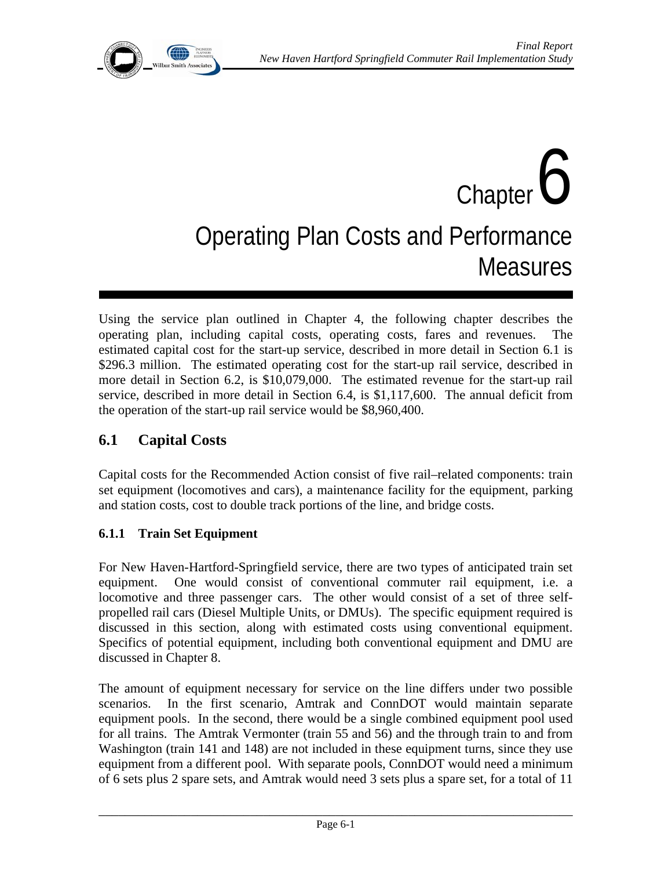

# Chapter  $\boldsymbol{6}$ Operating Plan Costs and Performance **Measures**

Using the service plan outlined in Chapter 4, the following chapter describes the operating plan, including capital costs, operating costs, fares and revenues. The estimated capital cost for the start-up service, described in more detail in Section 6.1 is \$296.3 million. The estimated operating cost for the start-up rail service, described in more detail in Section 6.2, is \$10,079,000. The estimated revenue for the start-up rail service, described in more detail in Section 6.4, is \$1,117,600. The annual deficit from the operation of the start-up rail service would be \$8,960,400.

# **6.1 Capital Costs**

Capital costs for the Recommended Action consist of five rail–related components: train set equipment (locomotives and cars), a maintenance facility for the equipment, parking and station costs, cost to double track portions of the line, and bridge costs.

## **6.1.1 Train Set Equipment**

For New Haven-Hartford-Springfield service, there are two types of anticipated train set equipment. One would consist of conventional commuter rail equipment, i.e. a locomotive and three passenger cars. The other would consist of a set of three selfpropelled rail cars (Diesel Multiple Units, or DMUs). The specific equipment required is discussed in this section, along with estimated costs using conventional equipment. Specifics of potential equipment, including both conventional equipment and DMU are discussed in Chapter 8.

The amount of equipment necessary for service on the line differs under two possible scenarios. In the first scenario, Amtrak and ConnDOT would maintain separate equipment pools. In the second, there would be a single combined equipment pool used for all trains. The Amtrak Vermonter (train 55 and 56) and the through train to and from Washington (train 141 and 148) are not included in these equipment turns, since they use equipment from a different pool. With separate pools, ConnDOT would need a minimum of 6 sets plus 2 spare sets, and Amtrak would need 3 sets plus a spare set, for a total of 11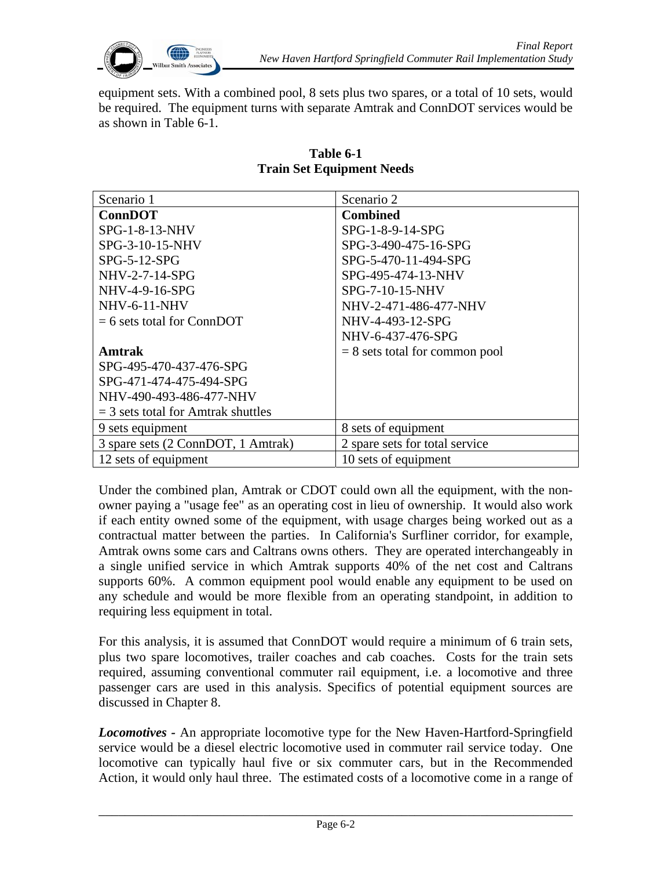

equipment sets. With a combined pool, 8 sets plus two spares, or a total of 10 sets, would be required. The equipment turns with separate Amtrak and ConnDOT services would be as shown in Table 6-1.

| Scenario 1                           | Scenario 2                       |
|--------------------------------------|----------------------------------|
| <b>ConnDOT</b>                       | <b>Combined</b>                  |
| $SPG-1-8-13-NHV$                     | SPG-1-8-9-14-SPG                 |
| SPG-3-10-15-NHV                      | SPG-3-490-475-16-SPG             |
| $SPG-5-12-SPG$                       | SPG-5-470-11-494-SPG             |
| NHV-2-7-14-SPG                       | SPG-495-474-13-NHV               |
| NHV-4-9-16-SPG                       | SPG-7-10-15-NHV                  |
| <b>NHV-6-11-NHV</b>                  | NHV-2-471-486-477-NHV            |
| $= 6$ sets total for ConnDOT         | NHV-4-493-12-SPG                 |
|                                      | NHV-6-437-476-SPG                |
| Amtrak                               | $= 8$ sets total for common pool |
| SPG-495-470-437-476-SPG              |                                  |
| SPG-471-474-475-494-SPG              |                                  |
| NHV-490-493-486-477-NHV              |                                  |
| $=$ 3 sets total for Amtrak shuttles |                                  |
| 9 sets equipment                     | 8 sets of equipment              |
| 3 spare sets (2 ConnDOT, 1 Amtrak)   | 2 spare sets for total service   |
| 12 sets of equipment                 | 10 sets of equipment             |

#### **Table 6-1 Train Set Equipment Needs**

Under the combined plan, Amtrak or CDOT could own all the equipment, with the nonowner paying a "usage fee" as an operating cost in lieu of ownership. It would also work if each entity owned some of the equipment, with usage charges being worked out as a contractual matter between the parties. In California's Surfliner corridor, for example, Amtrak owns some cars and Caltrans owns others. They are operated interchangeably in a single unified service in which Amtrak supports 40% of the net cost and Caltrans supports 60%. A common equipment pool would enable any equipment to be used on any schedule and would be more flexible from an operating standpoint, in addition to requiring less equipment in total.

For this analysis, it is assumed that ConnDOT would require a minimum of 6 train sets, plus two spare locomotives, trailer coaches and cab coaches. Costs for the train sets required, assuming conventional commuter rail equipment, i.e. a locomotive and three passenger cars are used in this analysis. Specifics of potential equipment sources are discussed in Chapter 8.

*Locomotives -* An appropriate locomotive type for the New Haven-Hartford-Springfield service would be a diesel electric locomotive used in commuter rail service today. One locomotive can typically haul five or six commuter cars, but in the Recommended Action, it would only haul three. The estimated costs of a locomotive come in a range of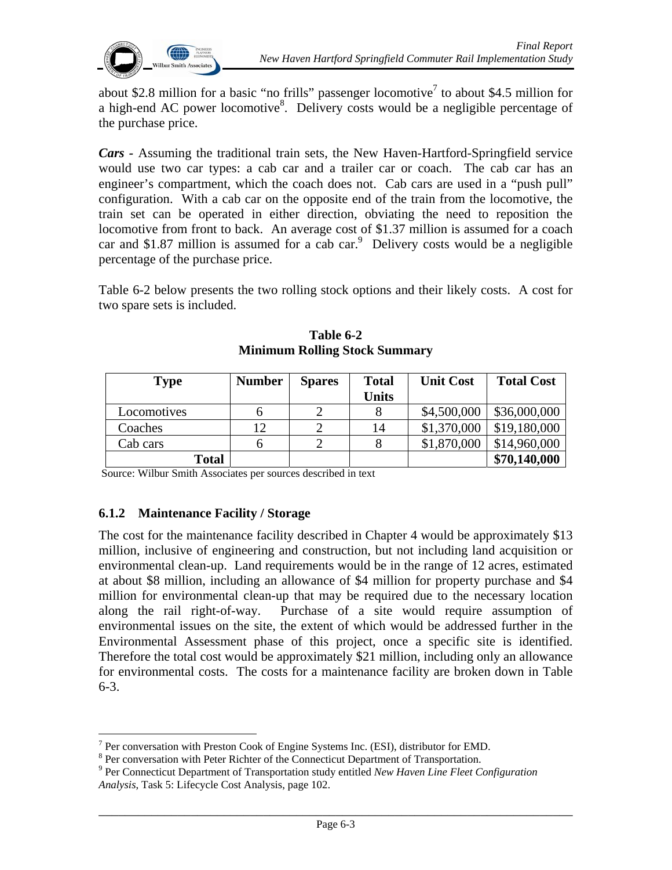

about \$2.8 million for a basic "no frills" passenger locomotive<sup>7</sup> to about \$4.5 million for a high-end AC power locomotive<sup>8</sup>. Delivery costs would be a negligible percentage of the purchase price.

*Cars -* Assuming the traditional train sets, the New Haven-Hartford-Springfield service would use two car types: a cab car and a trailer car or coach. The cab car has an engineer's compartment, which the coach does not. Cab cars are used in a "push pull" configuration. With a cab car on the opposite end of the train from the locomotive, the train set can be operated in either direction, obviating the need to reposition the locomotive from front to back. An average cost of \$1.37 million is assumed for a coach car and \$1.87 million is assumed for a cab car. $9$  Delivery costs would be a negligible percentage of the purchase price.

Table 6-2 below presents the two rolling stock options and their likely costs. A cost for two spare sets is included.

| <b>Type</b>  | <b>Number</b> | <b>Spares</b> | <b>Total</b> | <b>Unit Cost</b> | <b>Total Cost</b> |
|--------------|---------------|---------------|--------------|------------------|-------------------|
|              |               |               | <b>Units</b> |                  |                   |
| Locomotives  |               |               |              | \$4,500,000      | \$36,000,000      |
| Coaches      | 12            |               | 14           | \$1,370,000      | \$19,180,000      |
| Cab cars     |               |               |              | \$1,870,000      | \$14,960,000      |
| <b>Total</b> |               |               |              |                  | \$70,140,000      |

**Table 6-2 Minimum Rolling Stock Summary** 

Source: Wilbur Smith Associates per sources described in text

#### **6.1.2 Maintenance Facility / Storage**

The cost for the maintenance facility described in Chapter 4 would be approximately \$13 million, inclusive of engineering and construction, but not including land acquisition or environmental clean-up. Land requirements would be in the range of 12 acres, estimated at about \$8 million, including an allowance of \$4 million for property purchase and \$4 million for environmental clean-up that may be required due to the necessary location along the rail right-of-way. Purchase of a site would require assumption of environmental issues on the site, the extent of which would be addressed further in the Environmental Assessment phase of this project, once a specific site is identified. Therefore the total cost would be approximately \$21 million, including only an allowance for environmental costs. The costs for a maintenance facility are broken down in Table 6-3.

<sup>&</sup>lt;sup>7</sup> Per conversation with Preston Cook of Engine Systems Inc. (ESI), distributor for EMD.

<sup>&</sup>lt;sup>8</sup> Per conversation with Peter Richter of the Connecticut Department of Transportation.

Per Connecticut Department of Transportation study entitled *New Haven Line Fleet Configuration Analysis*, Task 5: Lifecycle Cost Analysis, page 102.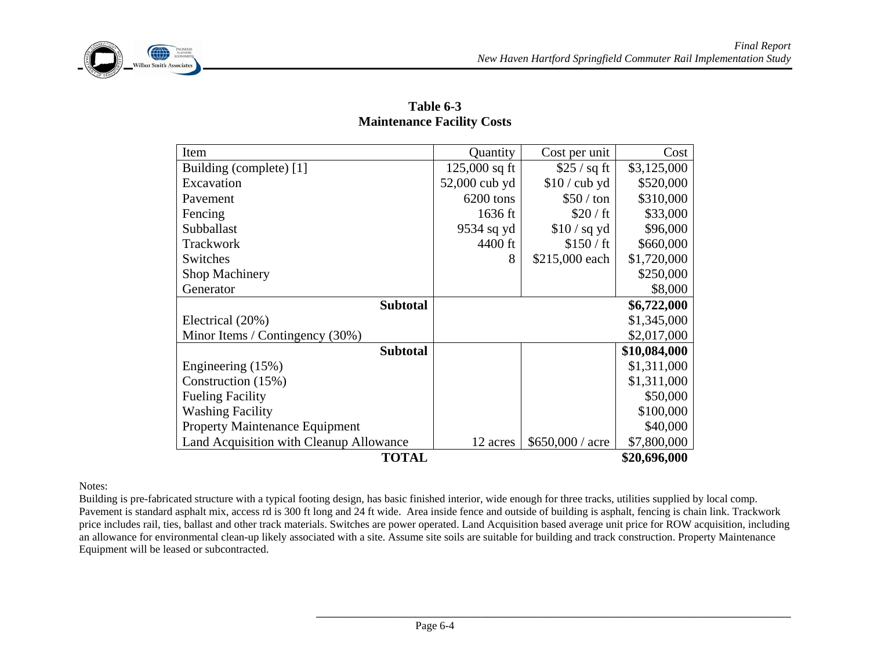



| Item                                    | Quantity        | Cost per unit      | Cost         |  |  |  |  |
|-----------------------------------------|-----------------|--------------------|--------------|--|--|--|--|
| Building (complete) [1]                 | $125,000$ sq ft | \$25 / sq ft       | \$3,125,000  |  |  |  |  |
| Excavation                              | 52,000 cub yd   | $$10$ / cub yd     | \$520,000    |  |  |  |  |
| Pavement                                | 6200 tons       | $$50 / \text{ton}$ | \$310,000    |  |  |  |  |
| Fencing                                 | 1636 ft         | \$20 / ft          | \$33,000     |  |  |  |  |
| Subballast                              | 9534 sq yd      | $$10$ / sq yd      | \$96,000     |  |  |  |  |
| Trackwork                               | 4400 ft         | \$150 / ft         | \$660,000    |  |  |  |  |
| Switches                                | 8               | \$215,000 each     | \$1,720,000  |  |  |  |  |
| <b>Shop Machinery</b>                   |                 |                    | \$250,000    |  |  |  |  |
| Generator                               |                 |                    | \$8,000      |  |  |  |  |
| <b>Subtotal</b>                         |                 |                    |              |  |  |  |  |
| Electrical (20%)                        |                 |                    | \$1,345,000  |  |  |  |  |
| Minor Items / Contingency (30%)         |                 |                    | \$2,017,000  |  |  |  |  |
| <b>Subtotal</b>                         |                 |                    | \$10,084,000 |  |  |  |  |
| Engineering (15%)                       |                 |                    | \$1,311,000  |  |  |  |  |
| Construction (15%)                      |                 |                    | \$1,311,000  |  |  |  |  |
| <b>Fueling Facility</b>                 |                 |                    | \$50,000     |  |  |  |  |
| <b>Washing Facility</b>                 |                 |                    | \$100,000    |  |  |  |  |
| <b>Property Maintenance Equipment</b>   |                 |                    | \$40,000     |  |  |  |  |
| Land Acquisition with Cleanup Allowance | 12 acres        | $$650,000 /$ acre  | \$7,800,000  |  |  |  |  |
| <b>TOTAL</b>                            |                 |                    | \$20,696,000 |  |  |  |  |

**Table 6-3 Maintenance Facility Costs** 

Notes:

Building is pre-fabricated structure with a typical footing design, has basic finished interior, wide enough for three tracks, utilities supplied by local comp. Pavement is standard asphalt mix, access rd is 300 ft long and 24 ft wide. Area inside fence and outside of building is asphalt, fencing is chain link. Trackwork price includes rail, ties, ballast and other track materials. Switches are power operated. Land Acquisition based average unit price for ROW acquisition, including an allowance for environmental clean-up likely associated with a site. Assume site soils are suitable for building and track construction. Property Maintenance Equipment will be leased or subcontracted.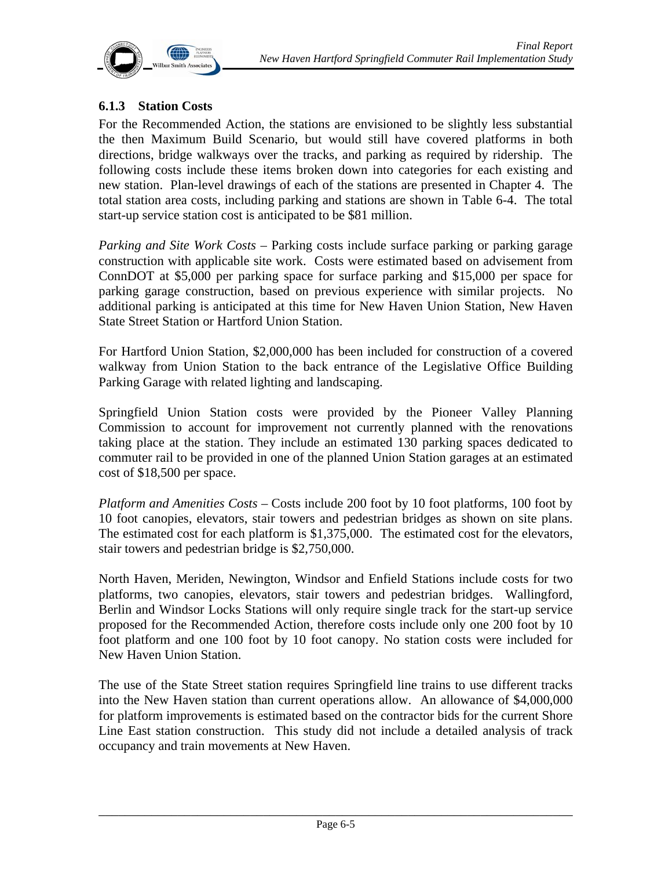

## **6.1.3 Station Costs**

For the Recommended Action, the stations are envisioned to be slightly less substantial the then Maximum Build Scenario, but would still have covered platforms in both directions, bridge walkways over the tracks, and parking as required by ridership. The following costs include these items broken down into categories for each existing and new station. Plan-level drawings of each of the stations are presented in Chapter 4. The total station area costs, including parking and stations are shown in Table 6-4. The total start-up service station cost is anticipated to be \$81 million.

*Parking and Site Work Costs –* Parking costs include surface parking or parking garage construction with applicable site work. Costs were estimated based on advisement from ConnDOT at \$5,000 per parking space for surface parking and \$15,000 per space for parking garage construction, based on previous experience with similar projects. No additional parking is anticipated at this time for New Haven Union Station, New Haven State Street Station or Hartford Union Station.

For Hartford Union Station, \$2,000,000 has been included for construction of a covered walkway from Union Station to the back entrance of the Legislative Office Building Parking Garage with related lighting and landscaping.

Springfield Union Station costs were provided by the Pioneer Valley Planning Commission to account for improvement not currently planned with the renovations taking place at the station. They include an estimated 130 parking spaces dedicated to commuter rail to be provided in one of the planned Union Station garages at an estimated cost of \$18,500 per space.

*Platform and Amenities Costs* – Costs include 200 foot by 10 foot platforms, 100 foot by 10 foot canopies, elevators, stair towers and pedestrian bridges as shown on site plans. The estimated cost for each platform is \$1,375,000. The estimated cost for the elevators, stair towers and pedestrian bridge is \$2,750,000.

North Haven, Meriden, Newington, Windsor and Enfield Stations include costs for two platforms, two canopies, elevators, stair towers and pedestrian bridges. Wallingford, Berlin and Windsor Locks Stations will only require single track for the start-up service proposed for the Recommended Action, therefore costs include only one 200 foot by 10 foot platform and one 100 foot by 10 foot canopy. No station costs were included for New Haven Union Station.

The use of the State Street station requires Springfield line trains to use different tracks into the New Haven station than current operations allow. An allowance of \$4,000,000 for platform improvements is estimated based on the contractor bids for the current Shore Line East station construction. This study did not include a detailed analysis of track occupancy and train movements at New Haven.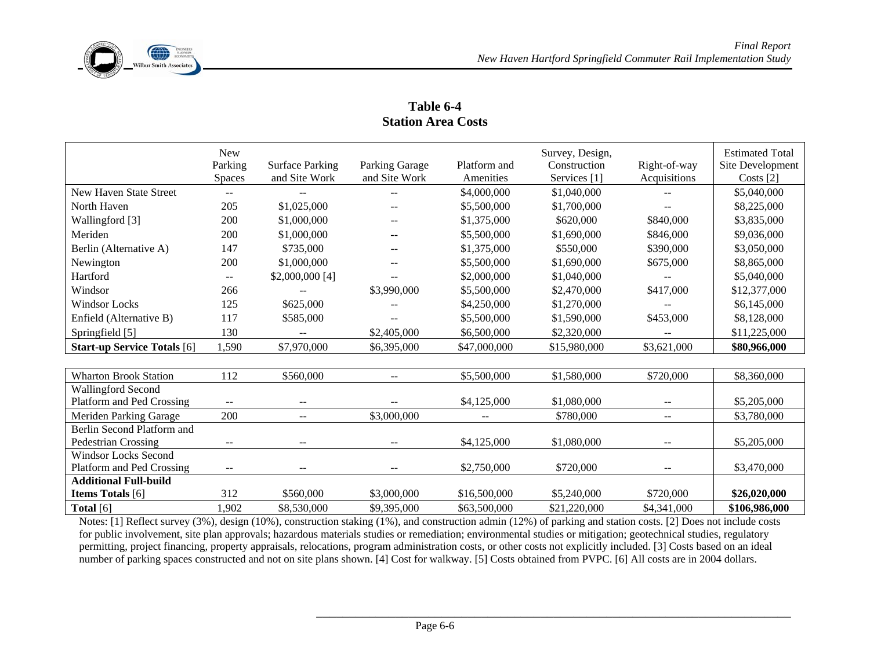

|                                    | <b>New</b><br>Parking<br><b>Spaces</b> | <b>Surface Parking</b><br>and Site Work | Parking Garage<br>and Site Work | Platform and<br>Amenities | Survey, Design,<br>Construction<br>Services [1] | Right-of-way<br>Acquisitions | <b>Estimated Total</b><br>Site Development<br>Costs $[2]$ |
|------------------------------------|----------------------------------------|-----------------------------------------|---------------------------------|---------------------------|-------------------------------------------------|------------------------------|-----------------------------------------------------------|
| New Haven State Street             | $\qquad \qquad -$                      | $- -$                                   | $- -$                           | \$4,000,000               | \$1,040,000                                     | $\qquad \qquad -$            | \$5,040,000                                               |
| North Haven                        | 205                                    | \$1,025,000                             | $\qquad \qquad -$               | \$5,500,000               | \$1,700,000                                     | $\qquad \qquad -$            | \$8,225,000                                               |
| Wallingford [3]                    | 200                                    | \$1,000,000                             |                                 | \$1,375,000               | \$620,000                                       | \$840,000                    | \$3,835,000                                               |
| Meriden                            | 200                                    | \$1,000,000                             | $- -$                           | \$5,500,000               | \$1,690,000                                     | \$846,000                    | \$9,036,000                                               |
| Berlin (Alternative A)             | 147                                    | \$735,000                               | $- -$                           | \$1,375,000               | \$550,000                                       | \$390,000                    | \$3,050,000                                               |
| Newington                          | 200                                    | \$1,000,000                             | $- -$                           | \$5,500,000               | \$1,690,000                                     | \$675,000                    | \$8,865,000                                               |
| Hartford                           | $\qquad \qquad -$                      | $$2,000,000$ [4]                        |                                 | \$2,000,000               | \$1,040,000                                     |                              | \$5,040,000                                               |
| Windsor                            | 266                                    |                                         | \$3,990,000                     | \$5,500,000               | \$2,470,000                                     | \$417,000                    | \$12,377,000                                              |
| Windsor Locks                      | 125                                    | \$625,000                               | $- -$                           | \$4,250,000               | \$1,270,000                                     | $- -$                        | \$6,145,000                                               |
| Enfield (Alternative B)            | 117                                    | \$585,000                               | $- -$                           | \$5,500,000               | \$1,590,000                                     | \$453,000                    | \$8,128,000                                               |
| Springfield [5]                    | 130                                    | $- -$                                   | \$2,405,000                     | \$6,500,000               | \$2,320,000                                     | $\overline{\phantom{m}}$     | \$11,225,000                                              |
| <b>Start-up Service Totals</b> [6] | 1,590                                  | \$7,970,000                             | \$6,395,000                     | \$47,000,000              | \$15,980,000                                    | \$3,621,000                  | \$80,966,000                                              |
|                                    |                                        |                                         |                                 |                           |                                                 |                              |                                                           |

**Table 6-4 Station Area Costs** 

| <b>Wharton Brook Station</b> | 112   | \$560,000         | $- -$       | \$5,500,000  | \$1,580,000  | \$720,000                | \$8,360,000   |
|------------------------------|-------|-------------------|-------------|--------------|--------------|--------------------------|---------------|
| <b>Wallingford Second</b>    |       |                   |             |              |              |                          |               |
| Platform and Ped Crossing    | $- -$ | $\qquad \qquad -$ | --          | \$4,125,000  | \$1,080,000  | $\overline{\phantom{m}}$ | \$5,205,000   |
| Meriden Parking Garage       | 200   | $\qquad \qquad -$ | \$3,000,000 | $--$         | \$780,000    | $- -$                    | \$3,780,000   |
| Berlin Second Platform and   |       |                   |             |              |              |                          |               |
| Pedestrian Crossing          | $- -$ |                   | --          | \$4,125,000  | \$1,080,000  | $ -$                     | \$5,205,000   |
| <b>Windsor Locks Second</b>  |       |                   |             |              |              |                          |               |
| Platform and Ped Crossing    | $- -$ |                   | --          | \$2,750,000  | \$720,000    | $ -$                     | \$3,470,000   |
| <b>Additional Full-build</b> |       |                   |             |              |              |                          |               |
| <b>Items Totals</b> [6]      | 312   | \$560,000         | \$3,000,000 | \$16,500,000 | \$5,240,000  | \$720,000                | \$26,020,000  |
| Total $[6]$                  | .902  | \$8,530,000       | \$9,395,000 | \$63,500,000 | \$21,220,000 | \$4,341,000              | \$106,986,000 |

Notes: [1] Reflect survey (3%), design (10%), construction staking (1%), and construction admin (12%) of parking and station costs. [2] Does not include costs for public involvement, site plan approvals; hazardous materials studies or remediation; environmental studies or mitigation; geotechnical studies, regulatory permitting, project financing, property appraisals, relocations, program administration costs, or other costs not explicitly included. [3] Costs based on an ideal number of parking spaces constructed and not on site plans shown. [4] Cost for walkway. [5] Costs obtained from PVPC. [6] All costs are in 2004 dollars.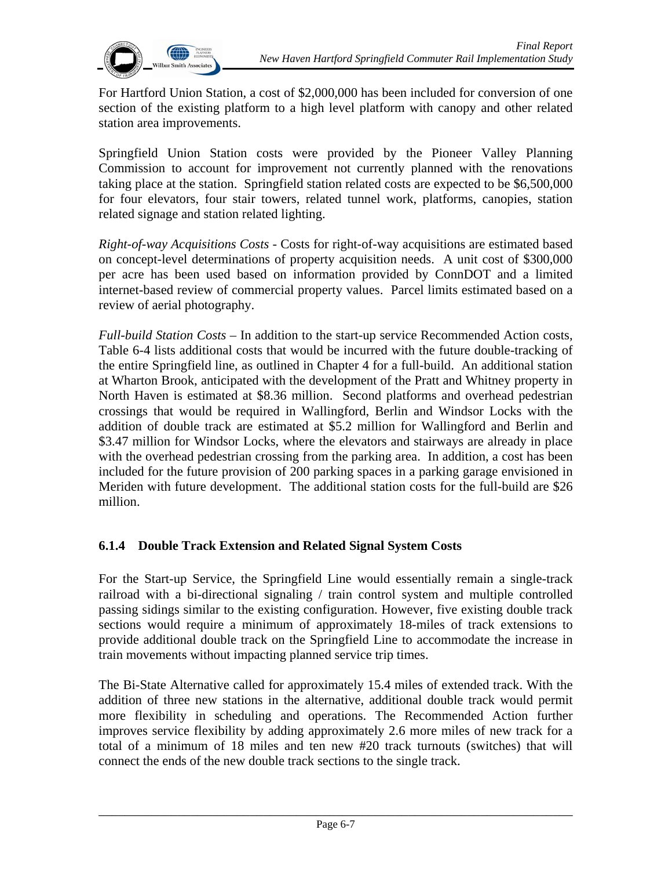

For Hartford Union Station, a cost of \$2,000,000 has been included for conversion of one section of the existing platform to a high level platform with canopy and other related station area improvements.

Springfield Union Station costs were provided by the Pioneer Valley Planning Commission to account for improvement not currently planned with the renovations taking place at the station. Springfield station related costs are expected to be \$6,500,000 for four elevators, four stair towers, related tunnel work, platforms, canopies, station related signage and station related lighting.

*Right-of-way Acquisitions Costs* - Costs for right-of-way acquisitions are estimated based on concept-level determinations of property acquisition needs. A unit cost of \$300,000 per acre has been used based on information provided by ConnDOT and a limited internet-based review of commercial property values. Parcel limits estimated based on a review of aerial photography.

*Full-build Station Costs –* In addition to the start-up service Recommended Action costs, Table 6-4 lists additional costs that would be incurred with the future double-tracking of the entire Springfield line, as outlined in Chapter 4 for a full-build. An additional station at Wharton Brook, anticipated with the development of the Pratt and Whitney property in North Haven is estimated at \$8.36 million. Second platforms and overhead pedestrian crossings that would be required in Wallingford, Berlin and Windsor Locks with the addition of double track are estimated at \$5.2 million for Wallingford and Berlin and \$3.47 million for Windsor Locks, where the elevators and stairways are already in place with the overhead pedestrian crossing from the parking area. In addition, a cost has been included for the future provision of 200 parking spaces in a parking garage envisioned in Meriden with future development. The additional station costs for the full-build are \$26 million.

#### **6.1.4 Double Track Extension and Related Signal System Costs**

For the Start-up Service, the Springfield Line would essentially remain a single-track railroad with a bi-directional signaling / train control system and multiple controlled passing sidings similar to the existing configuration. However, five existing double track sections would require a minimum of approximately 18-miles of track extensions to provide additional double track on the Springfield Line to accommodate the increase in train movements without impacting planned service trip times.

The Bi-State Alternative called for approximately 15.4 miles of extended track. With the addition of three new stations in the alternative, additional double track would permit more flexibility in scheduling and operations. The Recommended Action further improves service flexibility by adding approximately 2.6 more miles of new track for a total of a minimum of 18 miles and ten new #20 track turnouts (switches) that will connect the ends of the new double track sections to the single track.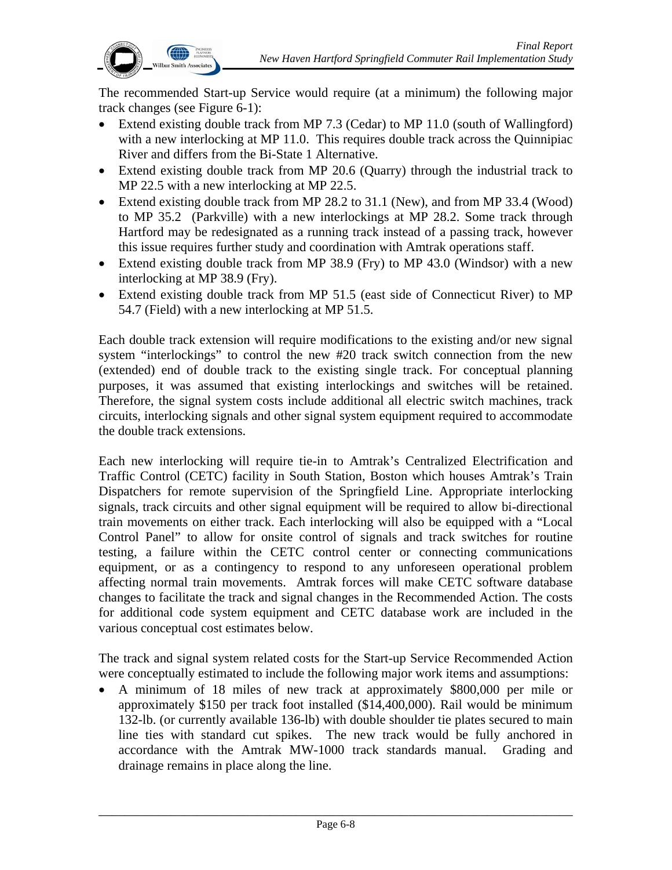

The recommended Start-up Service would require (at a minimum) the following major track changes (see Figure 6-1):

- Extend existing double track from MP 7.3 (Cedar) to MP 11.0 (south of Wallingford) with a new interlocking at MP 11.0. This requires double track across the Quinnipiac River and differs from the Bi-State 1 Alternative.
- Extend existing double track from MP 20.6 (Quarry) through the industrial track to MP 22.5 with a new interlocking at MP 22.5.
- Extend existing double track from MP 28.2 to 31.1 (New), and from MP 33.4 (Wood) to MP 35.2 (Parkville) with a new interlockings at MP 28.2. Some track through Hartford may be redesignated as a running track instead of a passing track, however this issue requires further study and coordination with Amtrak operations staff.
- Extend existing double track from MP 38.9 (Fry) to MP 43.0 (Windsor) with a new interlocking at MP 38.9 (Fry).
- Extend existing double track from MP 51.5 (east side of Connecticut River) to MP 54.7 (Field) with a new interlocking at MP 51.5.

Each double track extension will require modifications to the existing and/or new signal system "interlockings" to control the new #20 track switch connection from the new (extended) end of double track to the existing single track. For conceptual planning purposes, it was assumed that existing interlockings and switches will be retained. Therefore, the signal system costs include additional all electric switch machines, track circuits, interlocking signals and other signal system equipment required to accommodate the double track extensions.

Each new interlocking will require tie-in to Amtrak's Centralized Electrification and Traffic Control (CETC) facility in South Station, Boston which houses Amtrak's Train Dispatchers for remote supervision of the Springfield Line. Appropriate interlocking signals, track circuits and other signal equipment will be required to allow bi-directional train movements on either track. Each interlocking will also be equipped with a "Local Control Panel" to allow for onsite control of signals and track switches for routine testing, a failure within the CETC control center or connecting communications equipment, or as a contingency to respond to any unforeseen operational problem affecting normal train movements. Amtrak forces will make CETC software database changes to facilitate the track and signal changes in the Recommended Action. The costs for additional code system equipment and CETC database work are included in the various conceptual cost estimates below.

The track and signal system related costs for the Start-up Service Recommended Action were conceptually estimated to include the following major work items and assumptions:

• A minimum of 18 miles of new track at approximately \$800,000 per mile or approximately \$150 per track foot installed (\$14,400,000). Rail would be minimum 132-lb. (or currently available 136-lb) with double shoulder tie plates secured to main line ties with standard cut spikes. The new track would be fully anchored in accordance with the Amtrak MW-1000 track standards manual. Grading and drainage remains in place along the line.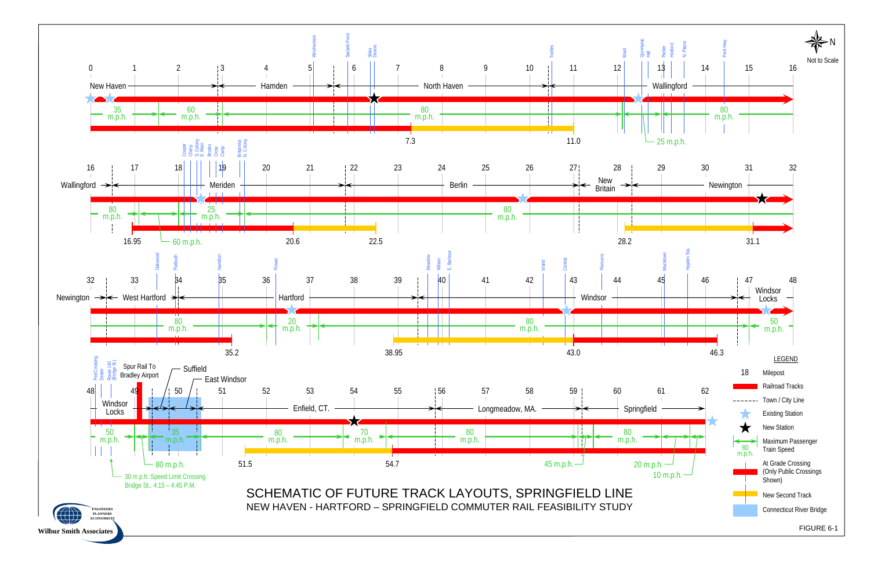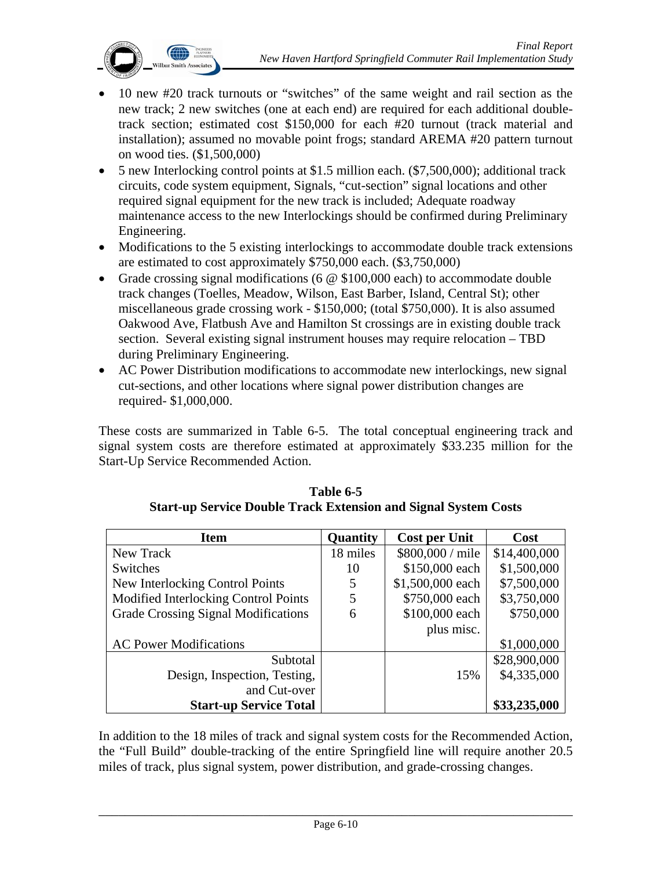

- 10 new #20 track turnouts or "switches" of the same weight and rail section as the new track; 2 new switches (one at each end) are required for each additional doubletrack section; estimated cost \$150,000 for each #20 turnout (track material and installation); assumed no movable point frogs; standard AREMA #20 pattern turnout on wood ties. (\$1,500,000)
- 5 new Interlocking control points at \$1.5 million each. (\$7,500,000); additional track circuits, code system equipment, Signals, "cut-section" signal locations and other required signal equipment for the new track is included; Adequate roadway maintenance access to the new Interlockings should be confirmed during Preliminary Engineering.
- Modifications to the 5 existing interlockings to accommodate double track extensions are estimated to cost approximately \$750,000 each. (\$3,750,000)
- Grade crossing signal modifications (6  $\omega$  \$100,000 each) to accommodate double track changes (Toelles, Meadow, Wilson, East Barber, Island, Central St); other miscellaneous grade crossing work - \$150,000; (total \$750,000). It is also assumed Oakwood Ave, Flatbush Ave and Hamilton St crossings are in existing double track section. Several existing signal instrument houses may require relocation – TBD during Preliminary Engineering.
- AC Power Distribution modifications to accommodate new interlockings, new signal cut-sections, and other locations where signal power distribution changes are required- \$1,000,000.

These costs are summarized in Table 6-5. The total conceptual engineering track and signal system costs are therefore estimated at approximately \$33.235 million for the Start-Up Service Recommended Action.

| <b>Item</b>                          | Quantity | <b>Cost per Unit</b> | Cost         |
|--------------------------------------|----------|----------------------|--------------|
| New Track                            | 18 miles | \$800,000 / mile     | \$14,400,000 |
| Switches                             | 10       | \$150,000 each       | \$1,500,000  |
| New Interlocking Control Points      | 5        | \$1,500,000 each     | \$7,500,000  |
| Modified Interlocking Control Points | 5        | \$750,000 each       | \$3,750,000  |
| Grade Crossing Signal Modifications  | 6        | \$100,000 each       | \$750,000    |
|                                      |          | plus misc.           |              |
| <b>AC Power Modifications</b>        |          |                      | \$1,000,000  |
| Subtotal                             |          |                      | \$28,900,000 |
| Design, Inspection, Testing,         |          | 15%                  | \$4,335,000  |
| and Cut-over                         |          |                      |              |
| <b>Start-up Service Total</b>        |          |                      | \$33,235,000 |

**Table 6-5 Start-up Service Double Track Extension and Signal System Costs** 

In addition to the 18 miles of track and signal system costs for the Recommended Action, the "Full Build" double-tracking of the entire Springfield line will require another 20.5 miles of track, plus signal system, power distribution, and grade-crossing changes.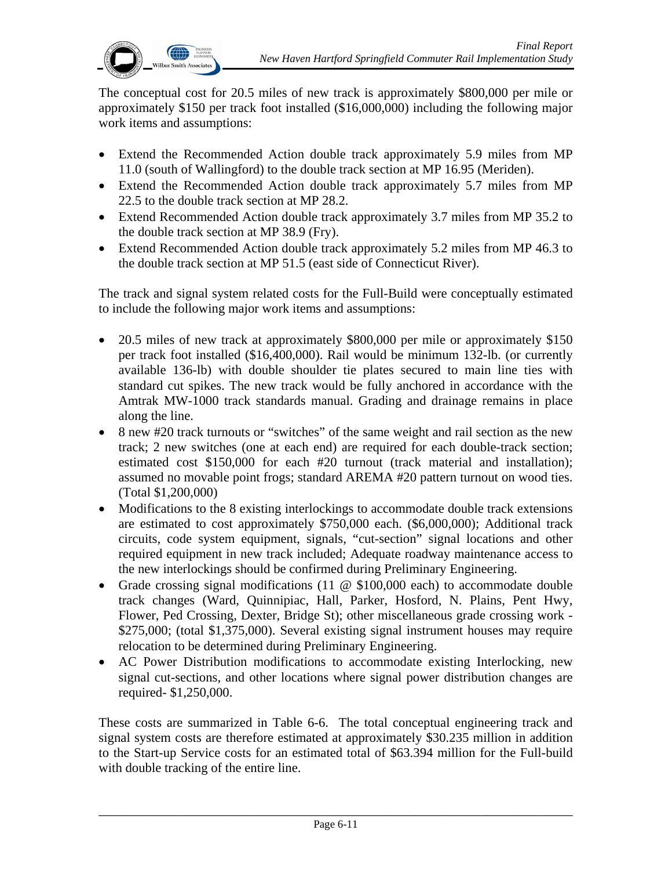

The conceptual cost for 20.5 miles of new track is approximately \$800,000 per mile or approximately \$150 per track foot installed (\$16,000,000) including the following major work items and assumptions:

- Extend the Recommended Action double track approximately 5.9 miles from MP 11.0 (south of Wallingford) to the double track section at MP 16.95 (Meriden).
- Extend the Recommended Action double track approximately 5.7 miles from MP 22.5 to the double track section at MP 28.2.
- Extend Recommended Action double track approximately 3.7 miles from MP 35.2 to the double track section at MP 38.9 (Fry).
- Extend Recommended Action double track approximately 5.2 miles from MP 46.3 to the double track section at MP 51.5 (east side of Connecticut River).

The track and signal system related costs for the Full-Build were conceptually estimated to include the following major work items and assumptions:

- 20.5 miles of new track at approximately \$800,000 per mile or approximately \$150 per track foot installed (\$16,400,000). Rail would be minimum 132-lb. (or currently available 136-lb) with double shoulder tie plates secured to main line ties with standard cut spikes. The new track would be fully anchored in accordance with the Amtrak MW-1000 track standards manual. Grading and drainage remains in place along the line.
- 8 new #20 track turnouts or "switches" of the same weight and rail section as the new track; 2 new switches (one at each end) are required for each double-track section; estimated cost \$150,000 for each #20 turnout (track material and installation); assumed no movable point frogs; standard AREMA #20 pattern turnout on wood ties. (Total \$1,200,000)
- Modifications to the 8 existing interlockings to accommodate double track extensions are estimated to cost approximately \$750,000 each. (\$6,000,000); Additional track circuits, code system equipment, signals, "cut-section" signal locations and other required equipment in new track included; Adequate roadway maintenance access to the new interlockings should be confirmed during Preliminary Engineering.
- Grade crossing signal modifications (11  $\omega$  \$100,000 each) to accommodate double track changes (Ward, Quinnipiac, Hall, Parker, Hosford, N. Plains, Pent Hwy, Flower, Ped Crossing, Dexter, Bridge St); other miscellaneous grade crossing work - \$275,000; (total \$1,375,000). Several existing signal instrument houses may require relocation to be determined during Preliminary Engineering.
- AC Power Distribution modifications to accommodate existing Interlocking, new signal cut-sections, and other locations where signal power distribution changes are required- \$1,250,000.

These costs are summarized in Table 6-6. The total conceptual engineering track and signal system costs are therefore estimated at approximately \$30.235 million in addition to the Start-up Service costs for an estimated total of \$63.394 million for the Full-build with double tracking of the entire line.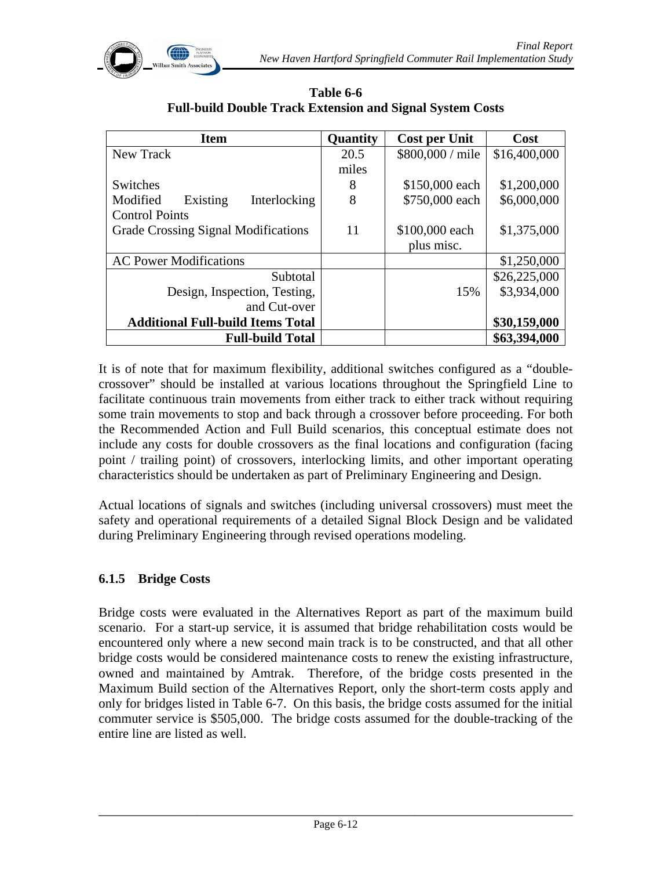

| <b>Item</b>                                | Quantity | <b>Cost per Unit</b> | Cost         |
|--------------------------------------------|----------|----------------------|--------------|
| New Track                                  | 20.5     | \$800,000 / mile     | \$16,400,000 |
|                                            | miles    |                      |              |
| Switches                                   | 8        | \$150,000 each       | \$1,200,000  |
| Interlocking<br>Modified<br>Existing       | 8        | \$750,000 each       | \$6,000,000  |
| <b>Control Points</b>                      |          |                      |              |
| <b>Grade Crossing Signal Modifications</b> | 11       | \$100,000 each       | \$1,375,000  |
|                                            |          | plus misc.           |              |
| <b>AC Power Modifications</b>              |          |                      | \$1,250,000  |
| Subtotal                                   |          |                      | \$26,225,000 |
| Design, Inspection, Testing,               |          | 15%                  | \$3,934,000  |
| and Cut-over                               |          |                      |              |
| <b>Additional Full-build Items Total</b>   |          |                      | \$30,159,000 |
| <b>Full-build Total</b>                    |          |                      | \$63,394,000 |

**Table 6-6 Full-build Double Track Extension and Signal System Costs** 

It is of note that for maximum flexibility, additional switches configured as a "doublecrossover" should be installed at various locations throughout the Springfield Line to facilitate continuous train movements from either track to either track without requiring some train movements to stop and back through a crossover before proceeding. For both the Recommended Action and Full Build scenarios, this conceptual estimate does not include any costs for double crossovers as the final locations and configuration (facing point / trailing point) of crossovers, interlocking limits, and other important operating characteristics should be undertaken as part of Preliminary Engineering and Design.

Actual locations of signals and switches (including universal crossovers) must meet the safety and operational requirements of a detailed Signal Block Design and be validated during Preliminary Engineering through revised operations modeling.

#### **6.1.5 Bridge Costs**

Bridge costs were evaluated in the Alternatives Report as part of the maximum build scenario. For a start-up service, it is assumed that bridge rehabilitation costs would be encountered only where a new second main track is to be constructed, and that all other bridge costs would be considered maintenance costs to renew the existing infrastructure, owned and maintained by Amtrak. Therefore, of the bridge costs presented in the Maximum Build section of the Alternatives Report, only the short-term costs apply and only for bridges listed in Table 6-7. On this basis, the bridge costs assumed for the initial commuter service is \$505,000. The bridge costs assumed for the double-tracking of the entire line are listed as well.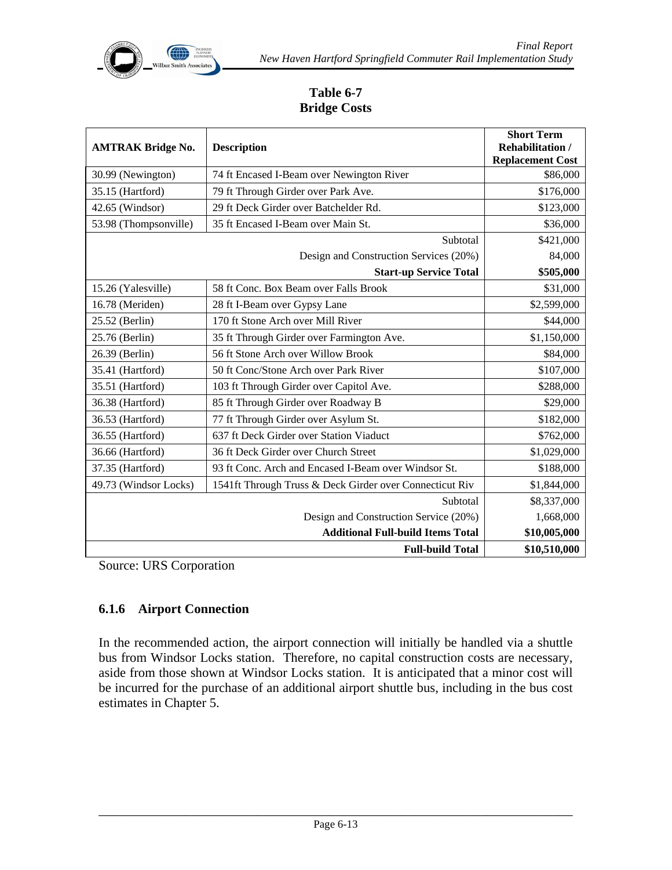

### **Table 6-7 Bridge Costs**

| <b>AMTRAK Bridge No.</b> | <b>Description</b>                                      | <b>Short Term</b><br><b>Rehabilitation /</b><br><b>Replacement Cost</b> |
|--------------------------|---------------------------------------------------------|-------------------------------------------------------------------------|
| 30.99 (Newington)        | 74 ft Encased I-Beam over Newington River               | \$86,000                                                                |
| 35.15 (Hartford)         | 79 ft Through Girder over Park Ave.                     | \$176,000                                                               |
| 42.65 (Windsor)          | 29 ft Deck Girder over Batchelder Rd.                   | \$123,000                                                               |
| 53.98 (Thompsonville)    | 35 ft Encased I-Beam over Main St.                      | \$36,000                                                                |
|                          | Subtotal                                                | \$421,000                                                               |
|                          | Design and Construction Services (20%)                  | 84,000                                                                  |
|                          | <b>Start-up Service Total</b>                           | \$505,000                                                               |
| 15.26 (Yalesville)       | 58 ft Conc. Box Beam over Falls Brook                   | \$31,000                                                                |
| 16.78 (Meriden)          | 28 ft I-Beam over Gypsy Lane                            | \$2,599,000                                                             |
| 25.52 (Berlin)           | 170 ft Stone Arch over Mill River                       | \$44,000                                                                |
| 25.76 (Berlin)           | 35 ft Through Girder over Farmington Ave.               | \$1,150,000                                                             |
| 26.39 (Berlin)           | 56 ft Stone Arch over Willow Brook                      | \$84,000                                                                |
| 35.41 (Hartford)         | 50 ft Conc/Stone Arch over Park River                   | \$107,000                                                               |
| 35.51 (Hartford)         | 103 ft Through Girder over Capitol Ave.                 | \$288,000                                                               |
| 36.38 (Hartford)         | 85 ft Through Girder over Roadway B                     | \$29,000                                                                |
| 36.53 (Hartford)         | 77 ft Through Girder over Asylum St.                    | \$182,000                                                               |
| 36.55 (Hartford)         | 637 ft Deck Girder over Station Viaduct                 | \$762,000                                                               |
| 36.66 (Hartford)         | 36 ft Deck Girder over Church Street                    | \$1,029,000                                                             |
| 37.35 (Hartford)         | 93 ft Conc. Arch and Encased I-Beam over Windsor St.    | \$188,000                                                               |
| 49.73 (Windsor Locks)    | 1541ft Through Truss & Deck Girder over Connecticut Riv | \$1,844,000                                                             |
|                          | Subtotal                                                | \$8,337,000                                                             |
|                          | Design and Construction Service (20%)                   | 1,668,000                                                               |
|                          | <b>Additional Full-build Items Total</b>                | \$10,005,000                                                            |
|                          | <b>Full-build Total</b>                                 | \$10,510,000                                                            |

Source: URS Corporation

## **6.1.6 Airport Connection**

In the recommended action, the airport connection will initially be handled via a shuttle bus from Windsor Locks station. Therefore, no capital construction costs are necessary, aside from those shown at Windsor Locks station. It is anticipated that a minor cost will be incurred for the purchase of an additional airport shuttle bus, including in the bus cost estimates in Chapter 5.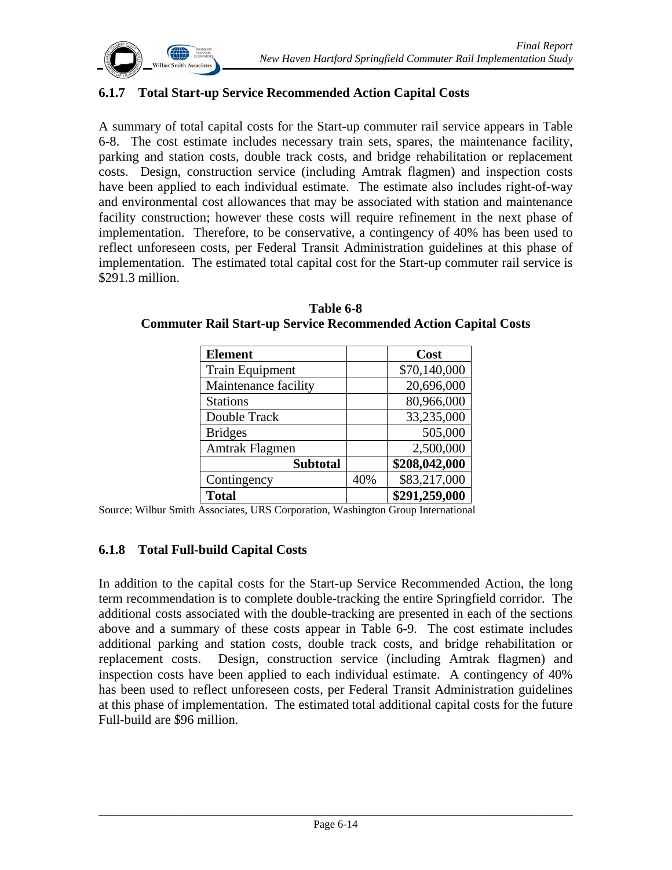

#### **6.1.7 Total Start-up Service Recommended Action Capital Costs**

A summary of total capital costs for the Start-up commuter rail service appears in Table 6-8. The cost estimate includes necessary train sets, spares, the maintenance facility, parking and station costs, double track costs, and bridge rehabilitation or replacement costs. Design, construction service (including Amtrak flagmen) and inspection costs have been applied to each individual estimate. The estimate also includes right-of-way and environmental cost allowances that may be associated with station and maintenance facility construction; however these costs will require refinement in the next phase of implementation. Therefore, to be conservative, a contingency of 40% has been used to reflect unforeseen costs, per Federal Transit Administration guidelines at this phase of implementation. The estimated total capital cost for the Start-up commuter rail service is \$291.3 million.

| <b>Element</b>         |     | Cost          |
|------------------------|-----|---------------|
| <b>Train Equipment</b> |     | \$70,140,000  |
| Maintenance facility   |     | 20,696,000    |
| <b>Stations</b>        |     | 80,966,000    |
| Double Track           |     | 33,235,000    |
| <b>Bridges</b>         |     | 505,000       |
| Amtrak Flagmen         |     | 2,500,000     |
| <b>Subtotal</b>        |     | \$208,042,000 |
| Contingency            | 40% | \$83,217,000  |
| <b>Total</b>           |     | \$291,259,000 |

**Table 6-8 Commuter Rail Start-up Service Recommended Action Capital Costs** 

Source: Wilbur Smith Associates, URS Corporation, Washington Group International

#### **6.1.8 Total Full-build Capital Costs**

In addition to the capital costs for the Start-up Service Recommended Action, the long term recommendation is to complete double-tracking the entire Springfield corridor. The additional costs associated with the double-tracking are presented in each of the sections above and a summary of these costs appear in Table 6-9. The cost estimate includes additional parking and station costs, double track costs, and bridge rehabilitation or replacement costs. Design, construction service (including Amtrak flagmen) and inspection costs have been applied to each individual estimate. A contingency of 40% has been used to reflect unforeseen costs, per Federal Transit Administration guidelines at this phase of implementation. The estimated total additional capital costs for the future Full-build are \$96 million.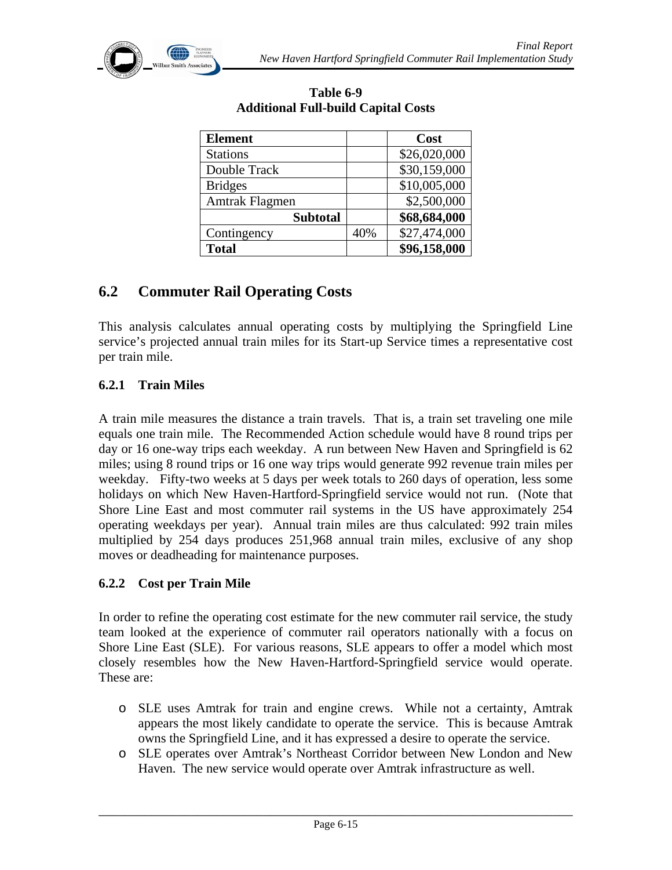

| <b>Element</b>  |     | Cost         |
|-----------------|-----|--------------|
| <b>Stations</b> |     | \$26,020,000 |
| Double Track    |     | \$30,159,000 |
| <b>Bridges</b>  |     | \$10,005,000 |
| Amtrak Flagmen  |     | \$2,500,000  |
| <b>Subtotal</b> |     | \$68,684,000 |
| Contingency     | 40% | \$27,474,000 |
| <b>Total</b>    |     | \$96,158,000 |

#### **Table 6-9 Additional Full-build Capital Costs**

# **6.2 Commuter Rail Operating Costs**

This analysis calculates annual operating costs by multiplying the Springfield Line service's projected annual train miles for its Start-up Service times a representative cost per train mile.

### **6.2.1 Train Miles**

A train mile measures the distance a train travels. That is, a train set traveling one mile equals one train mile. The Recommended Action schedule would have 8 round trips per day or 16 one-way trips each weekday. A run between New Haven and Springfield is 62 miles; using 8 round trips or 16 one way trips would generate 992 revenue train miles per weekday. Fifty-two weeks at 5 days per week totals to 260 days of operation, less some holidays on which New Haven-Hartford-Springfield service would not run. (Note that Shore Line East and most commuter rail systems in the US have approximately 254 operating weekdays per year). Annual train miles are thus calculated: 992 train miles multiplied by 254 days produces 251,968 annual train miles, exclusive of any shop moves or deadheading for maintenance purposes.

#### **6.2.2 Cost per Train Mile**

In order to refine the operating cost estimate for the new commuter rail service, the study team looked at the experience of commuter rail operators nationally with a focus on Shore Line East (SLE). For various reasons, SLE appears to offer a model which most closely resembles how the New Haven-Hartford-Springfield service would operate. These are:

- o SLE uses Amtrak for train and engine crews. While not a certainty, Amtrak appears the most likely candidate to operate the service. This is because Amtrak owns the Springfield Line, and it has expressed a desire to operate the service.
- o SLE operates over Amtrak's Northeast Corridor between New London and New Haven. The new service would operate over Amtrak infrastructure as well.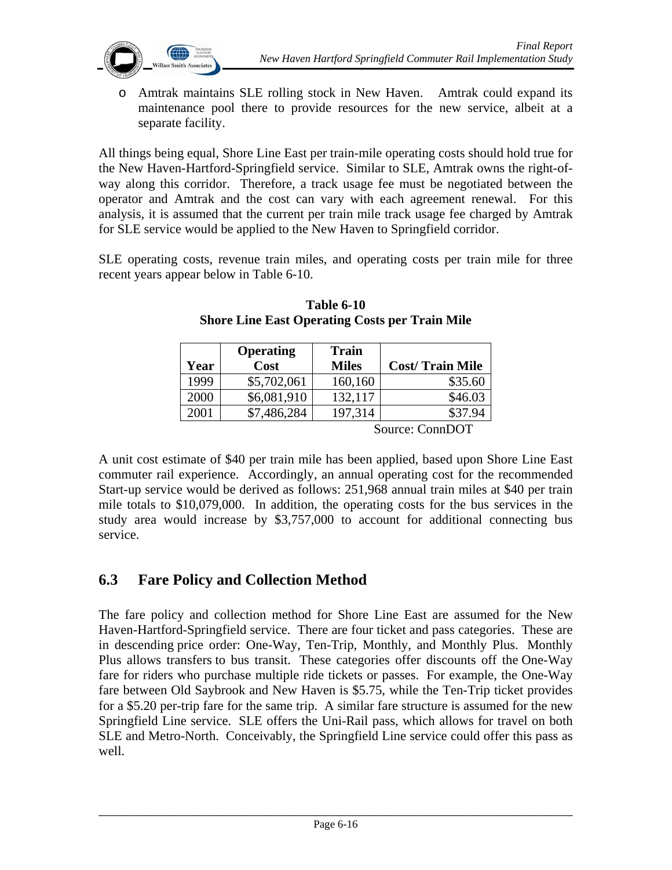

o Amtrak maintains SLE rolling stock in New Haven. Amtrak could expand its maintenance pool there to provide resources for the new service, albeit at a separate facility.

All things being equal, Shore Line East per train-mile operating costs should hold true for the New Haven-Hartford-Springfield service. Similar to SLE, Amtrak owns the right-ofway along this corridor. Therefore, a track usage fee must be negotiated between the operator and Amtrak and the cost can vary with each agreement renewal. For this analysis, it is assumed that the current per train mile track usage fee charged by Amtrak for SLE service would be applied to the New Haven to Springfield corridor.

SLE operating costs, revenue train miles, and operating costs per train mile for three recent years appear below in Table 6-10.

|      | <b>Operating</b> | <b>Train</b> |                        |
|------|------------------|--------------|------------------------|
| Year | Cost             | <b>Miles</b> | <b>Cost/Train Mile</b> |
| 1999 | \$5,702,061      | 160,160      | \$35.60                |
| 2000 | \$6,081,910      | 132,117      | \$46.03                |
| 2001 | \$7,486,284      | 197,314      | \$37.94                |
|      |                  | $\sim$       | $\sim$<br>$\mathbf{r}$ |

**Table 6-10 Shore Line East Operating Costs per Train Mile** 

Source: ConnDOT

A unit cost estimate of \$40 per train mile has been applied, based upon Shore Line East commuter rail experience. Accordingly, an annual operating cost for the recommended Start-up service would be derived as follows: 251,968 annual train miles at \$40 per train mile totals to \$10,079,000. In addition, the operating costs for the bus services in the study area would increase by \$3,757,000 to account for additional connecting bus service.

# **6.3 Fare Policy and Collection Method**

The fare policy and collection method for Shore Line East are assumed for the New Haven-Hartford-Springfield service. There are four ticket and pass categories. These are in descending price order: One-Way, Ten-Trip, Monthly, and Monthly Plus. Monthly Plus allows transfers to bus transit. These categories offer discounts off the One-Way fare for riders who purchase multiple ride tickets or passes. For example, the One-Way fare between Old Saybrook and New Haven is \$5.75, while the Ten-Trip ticket provides for a \$5.20 per-trip fare for the same trip. A similar fare structure is assumed for the new Springfield Line service. SLE offers the Uni-Rail pass, which allows for travel on both SLE and Metro-North. Conceivably, the Springfield Line service could offer this pass as well.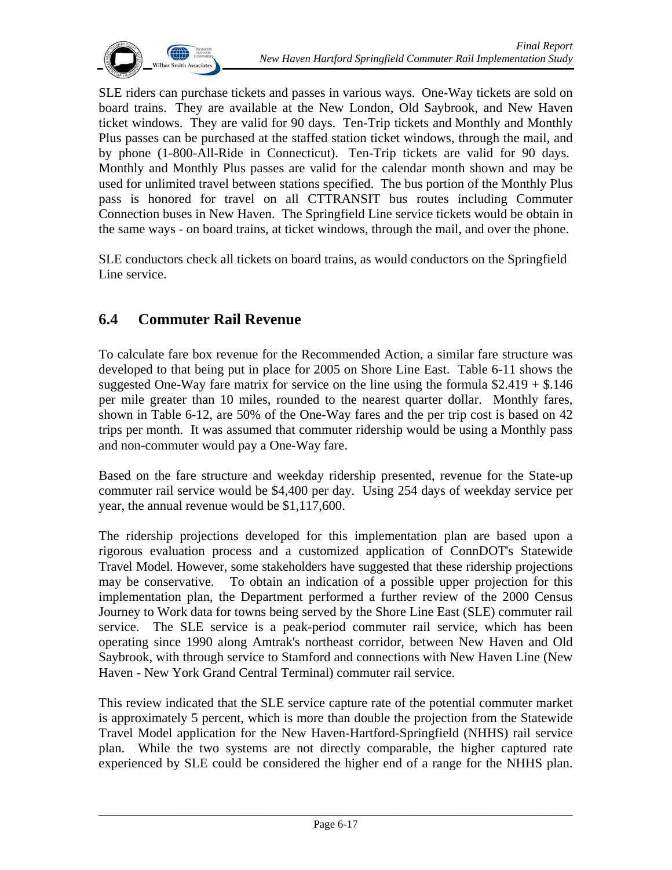

SLE riders can purchase tickets and passes in various ways. One-Way tickets are sold on board trains. They are available at the New London, Old Saybrook, and New Haven ticket windows. They are valid for 90 days. Ten-Trip tickets and Monthly and Monthly Plus passes can be purchased at the staffed station ticket windows, through the mail, and by phone (1-800-All-Ride in Connecticut). Ten-Trip tickets are valid for 90 days. Monthly and Monthly Plus passes are valid for the calendar month shown and may be used for unlimited travel between stations specified. The bus portion of the Monthly Plus pass is honored for travel on all CTTRANSIT bus routes including Commuter Connection buses in New Haven. The Springfield Line service tickets would be obtain in the same ways - on board trains, at ticket windows, through the mail, and over the phone.

SLE conductors check all tickets on board trains, as would conductors on the Springfield Line service.

# **6.4 Commuter Rail Revenue**

To calculate fare box revenue for the Recommended Action, a similar fare structure was developed to that being put in place for 2005 on Shore Line East. Table 6-11 shows the suggested One-Way fare matrix for service on the line using the formula  $$2.419 + $.146$ per mile greater than 10 miles, rounded to the nearest quarter dollar. Monthly fares, shown in Table 6-12, are 50% of the One-Way fares and the per trip cost is based on 42 trips per month. It was assumed that commuter ridership would be using a Monthly pass and non-commuter would pay a One-Way fare.

Based on the fare structure and weekday ridership presented, revenue for the State-up commuter rail service would be \$4,400 per day. Using 254 days of weekday service per year, the annual revenue would be \$1,117,600.

The ridership projections developed for this implementation plan are based upon a rigorous evaluation process and a customized application of ConnDOT's Statewide Travel Model. However, some stakeholders have suggested that these ridership projections may be conservative. To obtain an indication of a possible upper projection for this implementation plan, the Department performed a further review of the 2000 Census Journey to Work data for towns being served by the Shore Line East (SLE) commuter rail service. The SLE service is a peak-period commuter rail service, which has been operating since 1990 along Amtrak's northeast corridor, between New Haven and Old Saybrook, with through service to Stamford and connections with New Haven Line (New Haven - New York Grand Central Terminal) commuter rail service.

This review indicated that the SLE service capture rate of the potential commuter market is approximately 5 percent, which is more than double the projection from the Statewide Travel Model application for the New Haven-Hartford-Springfield (NHHS) rail service plan. While the two systems are not directly comparable, the higher captured rate experienced by SLE could be considered the higher end of a range for the NHHS plan.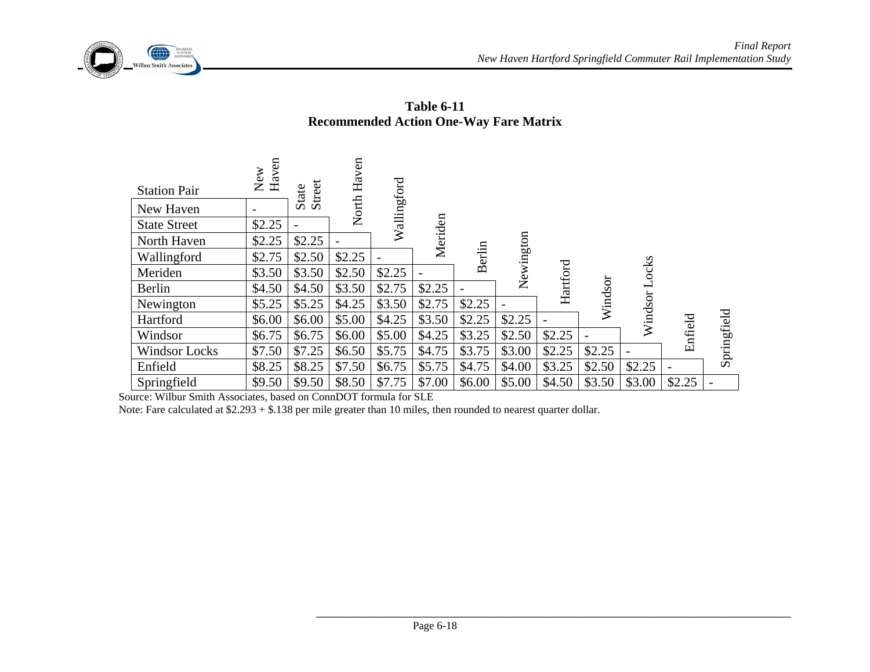



| <b>Station Pair</b>  | New<br>Haven             | Street<br><b>State</b> | Haven  | Wallingford |         |        |           |                |         |         |         |             |
|----------------------|--------------------------|------------------------|--------|-------------|---------|--------|-----------|----------------|---------|---------|---------|-------------|
| New Haven            | $\overline{\phantom{a}}$ |                        | North  |             |         |        |           |                |         |         |         |             |
| <b>State Street</b>  | \$2.25                   |                        |        |             | Meriden |        |           |                |         |         |         |             |
| North Haven          | \$2.25                   | \$2.25                 |        |             |         |        |           |                |         |         |         |             |
| Wallingford          | \$2.75                   | \$2.50                 | \$2.25 |             |         | Berlin | Newington |                |         |         |         |             |
| Meriden              | \$3.50                   | \$3.50                 | \$2.50 | \$2.25      |         |        |           | $\rm Hartford$ |         | ocks    |         |             |
| Berlin               | \$4.50                   | \$4.50                 | \$3.50 | \$2.75      | \$2.25  |        |           |                | Windsor |         |         |             |
| Newington            | \$5.25                   | \$5.25                 | \$4.25 | \$3.50      | \$2.75  | \$2.25 |           |                |         |         |         |             |
| Hartford             | \$6.00                   | \$6.00                 | \$5.00 | \$4.25      | \$3.50  | \$2.25 | \$2.25    |                |         | Windsor |         |             |
| Windsor              | \$6.75                   | \$6.75                 | \$6.00 | \$5.00      | \$4.25  | \$3.25 | \$2.50    | \$2.25         |         |         | Enfield | Springfield |
| <b>Windsor Locks</b> | \$7.50                   | \$7.25                 | \$6.50 | \$5.75      | \$4.75  | \$3.75 | \$3.00    | \$2.25         | \$2.25  |         |         |             |
| Enfield              | \$8.25                   | \$8.25                 | \$7.50 | \$6.75      | \$5.75  | \$4.75 | \$4.00    | \$3.25         | \$2.50  | \$2.25  |         |             |
| Springfield          | \$9.50                   | \$9.50                 | \$8.50 | \$7.75      | \$7.00  | \$6.00 | \$5.00    | \$4.50         | \$3.50  | \$3.00  | \$2.25  |             |

**Table 6-11 Recommended Action One-Way Fare Matrix** 

Source: Wilbur Smith Associates, based on ConnDOT formula for SLE

Note: Fare calculated at \$2.293 + \$.138 per mile greater than 10 miles, then rounded to nearest quarter dollar.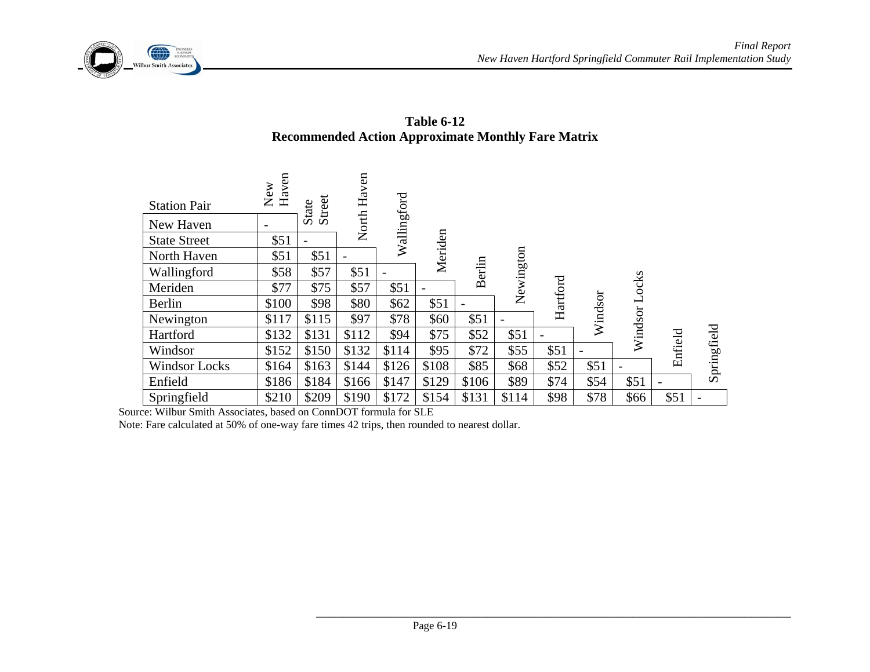

**Table 6-12 Recommended Action Approximate Monthly Fare Matrix** 

| <b>Station Pair</b>  | New<br>Haven | Street<br>State | North Haven | Wallingford |         |               |           |                |         |                          |                |             |
|----------------------|--------------|-----------------|-------------|-------------|---------|---------------|-----------|----------------|---------|--------------------------|----------------|-------------|
| New Haven            |              |                 |             |             |         |               |           |                |         |                          |                |             |
| <b>State Street</b>  | \$51         |                 |             |             | Meriden |               |           |                |         |                          |                |             |
| North Haven          | \$51         | \$51            |             |             |         |               |           |                |         |                          |                |             |
| Wallingford          | \$58         | \$57            | \$51        |             |         | <b>Berlin</b> | Newington |                |         |                          |                |             |
| Meriden              | \$77         | \$75            | \$57        | \$51        |         |               |           | $\rm Hartford$ |         | ocks                     |                |             |
| Berlin               | \$100        | \$98            | \$80        | \$62        | \$51    |               |           |                | Windsor | $\overline{\phantom{0}}$ |                |             |
| Newington            | \$117        | \$115           | \$97        | \$78        | \$60    | \$51          |           |                |         |                          |                |             |
| Hartford             | \$132        | \$131           | \$112       | \$94        | \$75    | \$52          | \$51      |                |         | Windsor                  |                |             |
| Windsor              | \$152        | \$150           | \$132       | \$114       | \$95    | \$72          | \$55      | \$51           |         |                          | Enfield        | Springfield |
| <b>Windsor Locks</b> | \$164        | \$163           | \$144       | \$126       | \$108   | \$85          | \$68      | \$52           | \$51    |                          |                |             |
| Enfield              | \$186        | \$184           | \$166       | \$147       | \$129   | \$106         | \$89      | \$74           | \$54    | \$51                     | $\overline{a}$ |             |
| Springfield          | \$210        | \$209           | \$190       | \$172       | \$154   | \$131         | \$114     | \$98           | \$78    | \$66                     | \$51           |             |

Source: Wilbur Smith Associates, based on ConnDOT formula for SLE

Note: Fare calculated at 50% of one-way fare times 42 trips, then rounded to nearest dollar.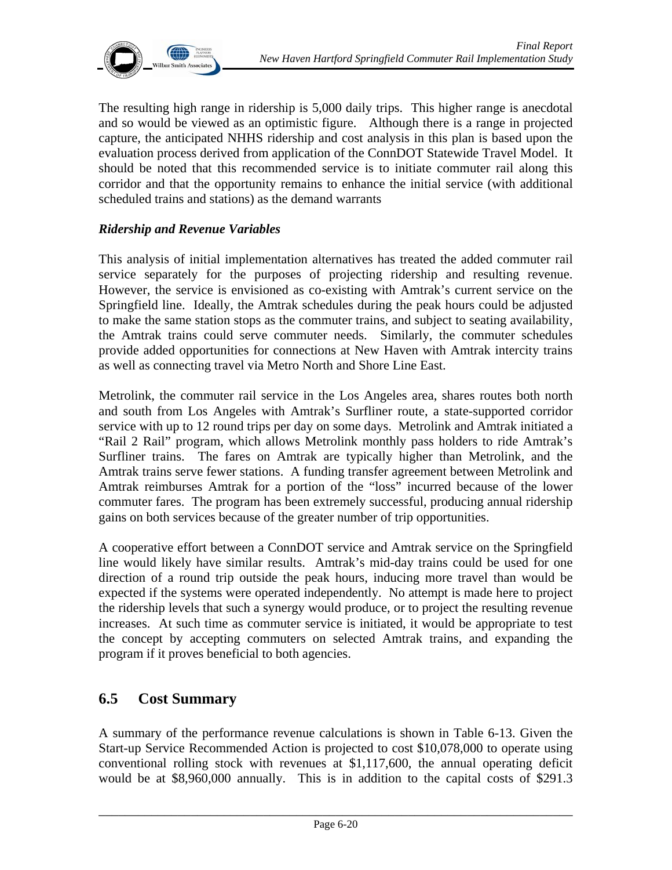

The resulting high range in ridership is 5,000 daily trips. This higher range is anecdotal and so would be viewed as an optimistic figure. Although there is a range in projected capture, the anticipated NHHS ridership and cost analysis in this plan is based upon the evaluation process derived from application of the ConnDOT Statewide Travel Model. It should be noted that this recommended service is to initiate commuter rail along this corridor and that the opportunity remains to enhance the initial service (with additional scheduled trains and stations) as the demand warrants

#### *Ridership and Revenue Variables*

This analysis of initial implementation alternatives has treated the added commuter rail service separately for the purposes of projecting ridership and resulting revenue. However, the service is envisioned as co-existing with Amtrak's current service on the Springfield line. Ideally, the Amtrak schedules during the peak hours could be adjusted to make the same station stops as the commuter trains, and subject to seating availability, the Amtrak trains could serve commuter needs. Similarly, the commuter schedules provide added opportunities for connections at New Haven with Amtrak intercity trains as well as connecting travel via Metro North and Shore Line East.

Metrolink, the commuter rail service in the Los Angeles area, shares routes both north and south from Los Angeles with Amtrak's Surfliner route, a state-supported corridor service with up to 12 round trips per day on some days. Metrolink and Amtrak initiated a "Rail 2 Rail" program, which allows Metrolink monthly pass holders to ride Amtrak's Surfliner trains. The fares on Amtrak are typically higher than Metrolink, and the Amtrak trains serve fewer stations. A funding transfer agreement between Metrolink and Amtrak reimburses Amtrak for a portion of the "loss" incurred because of the lower commuter fares. The program has been extremely successful, producing annual ridership gains on both services because of the greater number of trip opportunities.

A cooperative effort between a ConnDOT service and Amtrak service on the Springfield line would likely have similar results. Amtrak's mid-day trains could be used for one direction of a round trip outside the peak hours, inducing more travel than would be expected if the systems were operated independently. No attempt is made here to project the ridership levels that such a synergy would produce, or to project the resulting revenue increases. At such time as commuter service is initiated, it would be appropriate to test the concept by accepting commuters on selected Amtrak trains, and expanding the program if it proves beneficial to both agencies.

## **6.5 Cost Summary**

A summary of the performance revenue calculations is shown in Table 6-13. Given the Start-up Service Recommended Action is projected to cost \$10,078,000 to operate using conventional rolling stock with revenues at \$1,117,600, the annual operating deficit would be at \$8,960,000 annually. This is in addition to the capital costs of \$291.3